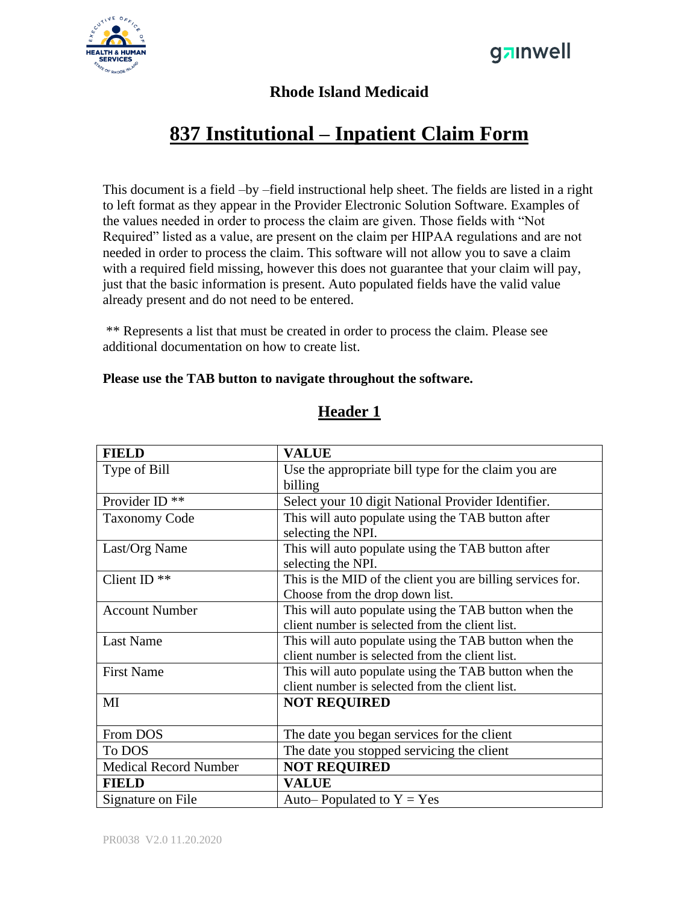



#### **Rhode Island Medicaid**

## **837 Institutional – Inpatient Claim Form**

This document is a field –by –field instructional help sheet. The fields are listed in a right to left format as they appear in the Provider Electronic Solution Software. Examples of the values needed in order to process the claim are given. Those fields with "Not Required" listed as a value, are present on the claim per HIPAA regulations and are not needed in order to process the claim. This software will not allow you to save a claim with a required field missing, however this does not guarantee that your claim will pay, just that the basic information is present. Auto populated fields have the valid value already present and do not need to be entered.

\*\* Represents a list that must be created in order to process the claim. Please see additional documentation on how to create list.

#### **Please use the TAB button to navigate throughout the software.**

| <b>FIELD</b>                 | <b>VALUE</b>                                                |
|------------------------------|-------------------------------------------------------------|
| Type of Bill                 | Use the appropriate bill type for the claim you are         |
|                              | billing                                                     |
| Provider ID $**$             | Select your 10 digit National Provider Identifier.          |
| <b>Taxonomy Code</b>         | This will auto populate using the TAB button after          |
|                              | selecting the NPI.                                          |
| Last/Org Name                | This will auto populate using the TAB button after          |
|                              | selecting the NPI.                                          |
| Client ID <sup>**</sup>      | This is the MID of the client you are billing services for. |
|                              | Choose from the drop down list.                             |
| <b>Account Number</b>        | This will auto populate using the TAB button when the       |
|                              | client number is selected from the client list.             |
| <b>Last Name</b>             | This will auto populate using the TAB button when the       |
|                              | client number is selected from the client list.             |
| <b>First Name</b>            | This will auto populate using the TAB button when the       |
|                              | client number is selected from the client list.             |
| MI                           | <b>NOT REQUIRED</b>                                         |
|                              |                                                             |
| From DOS                     | The date you began services for the client                  |
| To DOS                       | The date you stopped servicing the client                   |
| <b>Medical Record Number</b> | <b>NOT REQUIRED</b>                                         |
| <b>FIELD</b>                 | <b>VALUE</b>                                                |
| Signature on File            | Auto-Populated to $Y = Yes$                                 |

### **Header 1**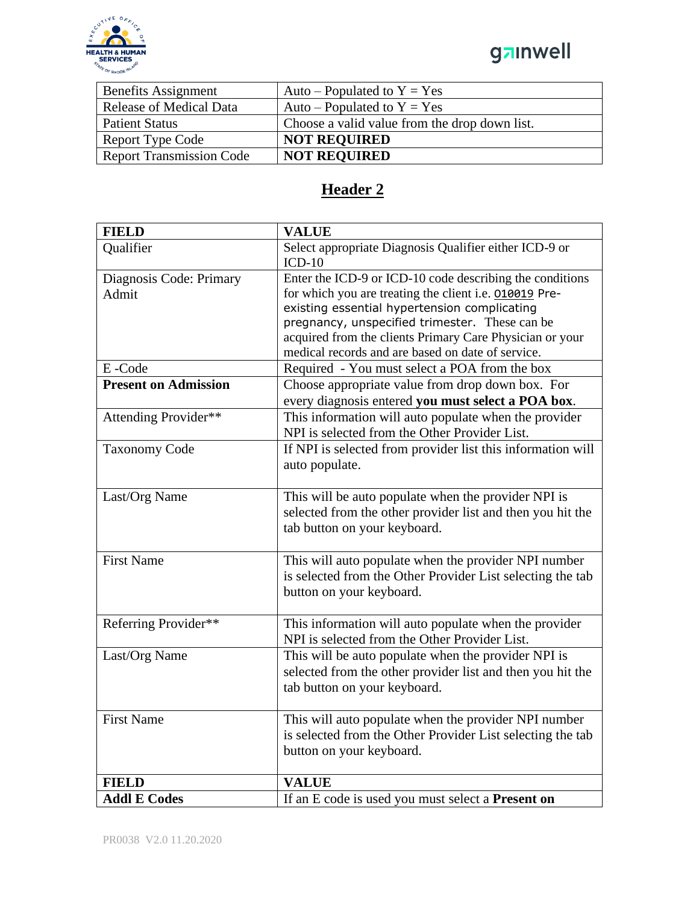

# ganwell

| <b>Benefits Assignment</b>      | Auto – Populated to $Y = Yes$                 |
|---------------------------------|-----------------------------------------------|
| <b>Release of Medical Data</b>  | Auto – Populated to $Y = Yes$                 |
| <b>Patient Status</b>           | Choose a valid value from the drop down list. |
| <b>Report Type Code</b>         | <b>NOT REQUIRED</b>                           |
| <b>Report Transmission Code</b> | <b>NOT REQUIRED</b>                           |

### **Header 2**

| <b>FIELD</b>                | <b>VALUE</b>                                                                                                  |
|-----------------------------|---------------------------------------------------------------------------------------------------------------|
| Qualifier                   | Select appropriate Diagnosis Qualifier either ICD-9 or<br>$ICD-10$                                            |
| Diagnosis Code: Primary     | Enter the ICD-9 or ICD-10 code describing the conditions                                                      |
| Admit                       | for which you are treating the client i.e. 010019 Pre-                                                        |
|                             | existing essential hypertension complicating                                                                  |
|                             | pregnancy, unspecified trimester. These can be                                                                |
|                             | acquired from the clients Primary Care Physician or your<br>medical records and are based on date of service. |
| E-Code                      | Required - You must select a POA from the box                                                                 |
| <b>Present on Admission</b> | Choose appropriate value from drop down box. For                                                              |
|                             | every diagnosis entered you must select a POA box.                                                            |
| Attending Provider**        | This information will auto populate when the provider                                                         |
|                             | NPI is selected from the Other Provider List.                                                                 |
| <b>Taxonomy Code</b>        | If NPI is selected from provider list this information will                                                   |
|                             | auto populate.                                                                                                |
|                             |                                                                                                               |
| Last/Org Name               | This will be auto populate when the provider NPI is                                                           |
|                             | selected from the other provider list and then you hit the                                                    |
|                             | tab button on your keyboard.                                                                                  |
|                             |                                                                                                               |
| <b>First Name</b>           | This will auto populate when the provider NPI number                                                          |
|                             | is selected from the Other Provider List selecting the tab                                                    |
|                             | button on your keyboard.                                                                                      |
| Referring Provider**        | This information will auto populate when the provider                                                         |
|                             | NPI is selected from the Other Provider List.                                                                 |
| Last/Org Name               | This will be auto populate when the provider NPI is                                                           |
|                             | selected from the other provider list and then you hit the                                                    |
|                             | tab button on your keyboard.                                                                                  |
|                             |                                                                                                               |
| <b>First Name</b>           | This will auto populate when the provider NPI number                                                          |
|                             | is selected from the Other Provider List selecting the tab                                                    |
|                             | button on your keyboard.                                                                                      |
|                             |                                                                                                               |
| <b>FIELD</b>                | <b>VALUE</b>                                                                                                  |
| <b>Addl E Codes</b>         | If an E code is used you must select a <b>Present on</b>                                                      |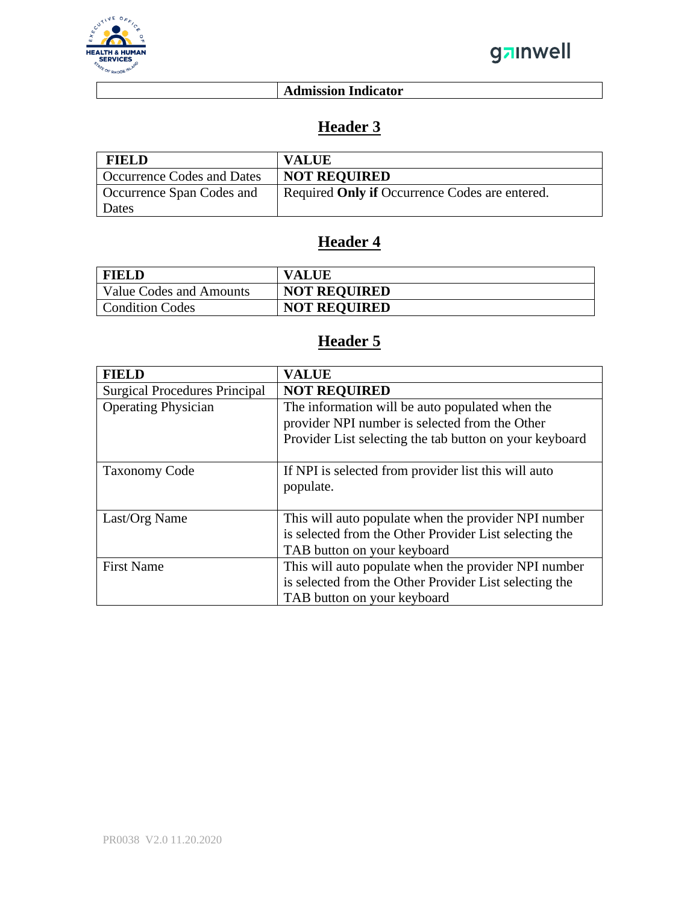

#### **Admission Indicator**

### **Header 3**

| <b>FIELD</b>                      | <b>VALUE</b>                                   |
|-----------------------------------|------------------------------------------------|
| <b>Occurrence Codes and Dates</b> | <b>NOT REQUIRED</b>                            |
| Occurrence Span Codes and         | Required Only if Occurrence Codes are entered. |
| Dates                             |                                                |

### **Header 4**

| FIELD                   | <b>VALUE</b>        |
|-------------------------|---------------------|
| Value Codes and Amounts | <b>NOT REQUIRED</b> |
| <b>Condition Codes</b>  | <b>NOT REQUIRED</b> |

### **Header 5**

| <b>FIELD</b>                         | <b>VALUE</b>                                                                                                                                                 |
|--------------------------------------|--------------------------------------------------------------------------------------------------------------------------------------------------------------|
| <b>Surgical Procedures Principal</b> | <b>NOT REQUIRED</b>                                                                                                                                          |
| <b>Operating Physician</b>           | The information will be auto populated when the<br>provider NPI number is selected from the Other<br>Provider List selecting the tab button on your keyboard |
| <b>Taxonomy Code</b>                 | If NPI is selected from provider list this will auto<br>populate.                                                                                            |
| Last/Org Name                        | This will auto populate when the provider NPI number<br>is selected from the Other Provider List selecting the<br>TAB button on your keyboard                |
| <b>First Name</b>                    | This will auto populate when the provider NPI number<br>is selected from the Other Provider List selecting the<br>TAB button on your keyboard                |